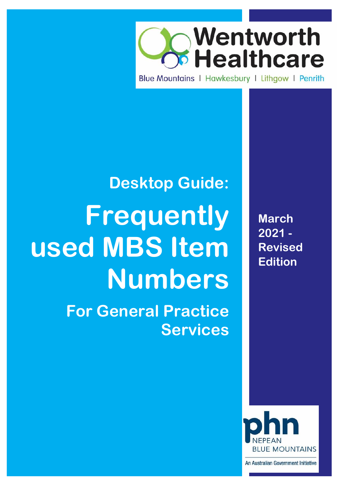

Blue Mountains | Hawkesbury | Lithaow | Penrith

# **Desktop Guide: Frequently used MBS Item Numbers For General Practice Services**

**March 2021 - Revised Edition**



An Australian Government Initiative

Page **1** of **31**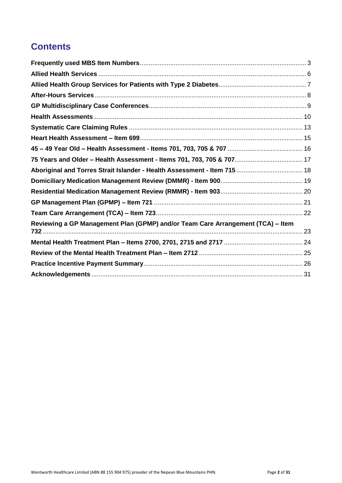# **Contents**

| Aboriginal and Torres Strait Islander - Health Assessment - Item 715  18        |  |
|---------------------------------------------------------------------------------|--|
|                                                                                 |  |
|                                                                                 |  |
|                                                                                 |  |
|                                                                                 |  |
| Reviewing a GP Management Plan (GPMP) and/or Team Care Arrangement (TCA) - Item |  |
|                                                                                 |  |
|                                                                                 |  |
|                                                                                 |  |
|                                                                                 |  |
|                                                                                 |  |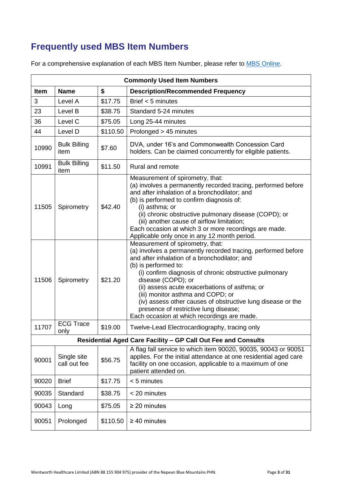# <span id="page-2-0"></span>**Frequently used MBS Item Numbers**

For a comprehensive explanation of each MBS Item Number, please refer to [MBS Online.](http://www.mbsonline.gov.au/internet/mbsonline/publishing.nsf/Content/Home)

|                                                                       | <b>Commonly Used Item Numbers</b> |          |                                                                                                                                                                                                                                                                                                                                                                                                                                                                                                         |  |
|-----------------------------------------------------------------------|-----------------------------------|----------|---------------------------------------------------------------------------------------------------------------------------------------------------------------------------------------------------------------------------------------------------------------------------------------------------------------------------------------------------------------------------------------------------------------------------------------------------------------------------------------------------------|--|
| \$<br>Item<br><b>Name</b><br><b>Description/Recommended Frequency</b> |                                   |          |                                                                                                                                                                                                                                                                                                                                                                                                                                                                                                         |  |
| 3                                                                     | Level A                           | \$17.75  | Brief $<$ 5 minutes                                                                                                                                                                                                                                                                                                                                                                                                                                                                                     |  |
| 23                                                                    | Level B                           | \$38.75  | Standard 5-24 minutes                                                                                                                                                                                                                                                                                                                                                                                                                                                                                   |  |
| 36                                                                    | Level C                           | \$75.05  | Long 25-44 minutes                                                                                                                                                                                                                                                                                                                                                                                                                                                                                      |  |
| 44                                                                    | Level D                           | \$110.50 | Prolonged > 45 minutes                                                                                                                                                                                                                                                                                                                                                                                                                                                                                  |  |
| 10990                                                                 | <b>Bulk Billing</b><br>item       | \$7.60   | DVA, under 16's and Commonwealth Concession Card<br>holders. Can be claimed concurrently for eligible patients.                                                                                                                                                                                                                                                                                                                                                                                         |  |
| 10991                                                                 | <b>Bulk Billing</b><br>item       | \$11.50  | Rural and remote                                                                                                                                                                                                                                                                                                                                                                                                                                                                                        |  |
| 11505                                                                 | Spirometry                        | \$42.40  | Measurement of spirometry, that:<br>(a) involves a permanently recorded tracing, performed before<br>and after inhalation of a bronchodilator; and<br>(b) is performed to confirm diagnosis of:<br>(i) asthma; or<br>(ii) chronic obstructive pulmonary disease (COPD); or<br>(iii) another cause of airflow limitation;<br>Each occasion at which 3 or more recordings are made.<br>Applicable only once in any 12 month period.                                                                       |  |
| 11506                                                                 | Spirometry                        | \$21.20  | Measurement of spirometry, that:<br>(a) involves a permanently recorded tracing, performed before<br>and after inhalation of a bronchodilator; and<br>(b) is performed to:<br>(i) confirm diagnosis of chronic obstructive pulmonary<br>disease (COPD); or<br>(ii) assess acute exacerbations of asthma; or<br>(iii) monitor asthma and COPD; or<br>(iv) assess other causes of obstructive lung disease or the<br>presence of restrictive lung disease;<br>Each occasion at which recordings are made. |  |
| 11707                                                                 | <b>ECG Trace</b><br>only          | \$19.00  | Twelve-Lead Electrocardiography, tracing only                                                                                                                                                                                                                                                                                                                                                                                                                                                           |  |
|                                                                       |                                   |          | Residential Aged Care Facility - GP Call Out Fee and Consults                                                                                                                                                                                                                                                                                                                                                                                                                                           |  |
| 90001                                                                 | Single site<br>call out fee       | \$56.75  | A flag fall service to which item 90020, 90035, 90043 or 90051<br>applies. For the initial attendance at one residential aged care<br>facility on one occasion, applicable to a maximum of one<br>patient attended on.                                                                                                                                                                                                                                                                                  |  |
| 90020                                                                 | <b>Brief</b>                      | \$17.75  | < 5 minutes                                                                                                                                                                                                                                                                                                                                                                                                                                                                                             |  |
| 90035                                                                 | Standard                          | \$38.75  | < 20 minutes                                                                                                                                                                                                                                                                                                                                                                                                                                                                                            |  |
| 90043                                                                 | Long                              | \$75.05  | $\geq$ 20 minutes                                                                                                                                                                                                                                                                                                                                                                                                                                                                                       |  |
| 90051                                                                 | Prolonged                         | \$110.50 | $\geq 40$ minutes                                                                                                                                                                                                                                                                                                                                                                                                                                                                                       |  |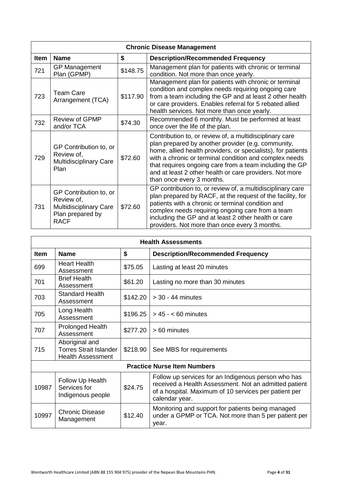|             | <b>Chronic Disease Management</b>                                                                        |          |                                                                                                                                                                                                                                                                                                                                                                                            |  |
|-------------|----------------------------------------------------------------------------------------------------------|----------|--------------------------------------------------------------------------------------------------------------------------------------------------------------------------------------------------------------------------------------------------------------------------------------------------------------------------------------------------------------------------------------------|--|
| <b>Item</b> | <b>Name</b>                                                                                              | \$       | <b>Description/Recommended Frequency</b>                                                                                                                                                                                                                                                                                                                                                   |  |
| 721         | <b>GP Management</b><br>Plan (GPMP)                                                                      | \$148.75 | Management plan for patients with chronic or terminal<br>condition. Not more than once yearly.                                                                                                                                                                                                                                                                                             |  |
| 723         | <b>Team Care</b><br>Arrangement (TCA)                                                                    | \$117.90 | Management plan for patients with chronic or terminal<br>condition and complex needs requiring ongoing care<br>from a team including the GP and at least 2 other health<br>or care providers. Enables referral for 5 rebated allied<br>health services. Not more than once yearly.                                                                                                         |  |
| 732         | <b>Review of GPMP</b><br>and/or TCA                                                                      | \$74.30  | Recommended 6 monthly. Must be performed at least<br>once over the life of the plan.                                                                                                                                                                                                                                                                                                       |  |
| 729         | GP Contribution to, or<br>Review of,<br><b>Multidisciplinary Care</b><br>Plan                            | \$72.60  | Contribution to, or review of, a multidisciplinary care<br>plan prepared by another provider (e.g. community,<br>home, allied health providers, or specialists), for patients<br>with a chronic or terminal condition and complex needs<br>that requires ongoing care from a team including the GP<br>and at least 2 other health or care providers. Not more<br>than once every 3 months. |  |
| 731         | GP Contribution to, or<br>Review of,<br><b>Multidisciplinary Care</b><br>Plan prepared by<br><b>RACF</b> | \$72.60  | GP contribution to, or review of, a multidisciplinary care<br>plan prepared by RACF, at the request of the facility, for<br>patients with a chronic or terminal condition and<br>complex needs requiring ongoing care from a team<br>including the GP and at least 2 other health or care<br>providers. Not more than once every 3 months.                                                 |  |

| <b>Health Assessments</b> |                                                                             |          |                                                                                                                                                                                         |
|---------------------------|-----------------------------------------------------------------------------|----------|-----------------------------------------------------------------------------------------------------------------------------------------------------------------------------------------|
| <b>Item</b>               | <b>Name</b>                                                                 | \$       | <b>Description/Recommended Frequency</b>                                                                                                                                                |
| 699                       | <b>Heart Health</b><br>Assessment                                           | \$75.05  | Lasting at least 20 minutes                                                                                                                                                             |
| 701                       | <b>Brief Health</b><br>Assessment                                           | \$61.20  | Lasting no more than 30 minutes                                                                                                                                                         |
| 703                       | <b>Standard Health</b><br>Assessment                                        | \$142.20 | $>$ 30 - 44 minutes                                                                                                                                                                     |
| 705                       | Long Health<br>Assessment                                                   |          | $$196.25$   > 45 - < 60 minutes                                                                                                                                                         |
| 707                       | <b>Prolonged Health</b><br>Assessment                                       | \$277.20 | > 60 minutes                                                                                                                                                                            |
| 715                       | Aboriginal and<br><b>Torres Strait Islander</b><br><b>Health Assessment</b> | \$218.90 | See MBS for requirements                                                                                                                                                                |
|                           |                                                                             |          | <b>Practice Nurse Item Numbers</b>                                                                                                                                                      |
| 10987                     | Follow Up Health<br>Services for<br>Indigenous people                       | \$24.75  | Follow up services for an Indigenous person who has<br>received a Health Assessment. Not an admitted patient<br>of a hospital. Maximum of 10 services per patient per<br>calendar year. |
| 10997                     | <b>Chronic Disease</b><br>Management                                        | \$12.40  | Monitoring and support for patients being managed<br>under a GPMP or TCA. Not more than 5 per patient per<br>year.                                                                      |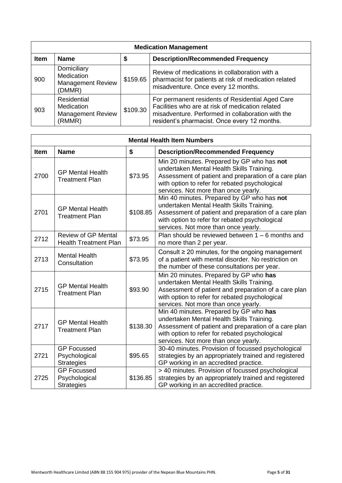| <b>Medication Management</b> |                                                                               |          |                                                                                                                                                                                                           |
|------------------------------|-------------------------------------------------------------------------------|----------|-----------------------------------------------------------------------------------------------------------------------------------------------------------------------------------------------------------|
| <b>Item</b>                  | <b>Name</b>                                                                   | \$       | <b>Description/Recommended Frequency</b>                                                                                                                                                                  |
| 900                          | Domiciliary<br><b>Medication</b><br><b>Management Review</b><br>(DMMR)        | \$159.65 | Review of medications in collaboration with a<br>pharmacist for patients at risk of medication related<br>misadventure. Once every 12 months.                                                             |
| 903                          | <b>Residential</b><br><b>Medication</b><br><b>Management Review</b><br>(RMMR) | \$109.30 | For permanent residents of Residential Aged Care<br>Facilities who are at risk of medication related<br>misadventure. Performed in collaboration with the<br>resident's pharmacist. Once every 12 months. |

|             | <b>Mental Health Item Numbers</b>                          |          |                                                                                                                                                                                                                                           |  |
|-------------|------------------------------------------------------------|----------|-------------------------------------------------------------------------------------------------------------------------------------------------------------------------------------------------------------------------------------------|--|
| <b>Item</b> | <b>Name</b>                                                | \$       | <b>Description/Recommended Frequency</b>                                                                                                                                                                                                  |  |
| 2700        | <b>GP Mental Health</b><br><b>Treatment Plan</b>           | \$73.95  | Min 20 minutes. Prepared by GP who has not<br>undertaken Mental Health Skills Training.<br>Assessment of patient and preparation of a care plan<br>with option to refer for rebated psychological<br>services. Not more than once yearly. |  |
| 2701        | <b>GP Mental Health</b><br><b>Treatment Plan</b>           | \$108.85 | Min 40 minutes. Prepared by GP who has not<br>undertaken Mental Health Skills Training.<br>Assessment of patient and preparation of a care plan<br>with option to refer for rebated psychological<br>services. Not more than once yearly. |  |
| 2712        | <b>Review of GP Mental</b><br><b>Health Treatment Plan</b> | \$73.95  | Plan should be reviewed between $1 - 6$ months and<br>no more than 2 per year.                                                                                                                                                            |  |
| 2713        | <b>Mental Health</b><br>Consultation                       | \$73.95  | Consult $\geq$ 20 minutes, for the ongoing management<br>of a patient with mental disorder. No restriction on<br>the number of these consultations per year.                                                                              |  |
| 2715        | <b>GP Mental Health</b><br><b>Treatment Plan</b>           | \$93.90  | Min 20 minutes. Prepared by GP who has<br>undertaken Mental Health Skills Training.<br>Assessment of patient and preparation of a care plan<br>with option to refer for rebated psychological<br>services. Not more than once yearly.     |  |
| 2717        | <b>GP Mental Health</b><br><b>Treatment Plan</b>           | \$138.30 | Min 40 minutes. Prepared by GP who has<br>undertaken Mental Health Skills Training.<br>Assessment of patient and preparation of a care plan<br>with option to refer for rebated psychological<br>services. Not more than once yearly.     |  |
| 2721        | <b>GP Focussed</b><br>Psychological<br><b>Strategies</b>   | \$95.65  | 30-40 minutes. Provision of focussed psychological<br>strategies by an appropriately trained and registered<br>GP working in an accredited practice.                                                                                      |  |
| 2725        | <b>GP Focussed</b><br>Psychological<br><b>Strategies</b>   | \$136.85 | > 40 minutes. Provision of focussed psychological<br>strategies by an appropriately trained and registered<br>GP working in an accredited practice.                                                                                       |  |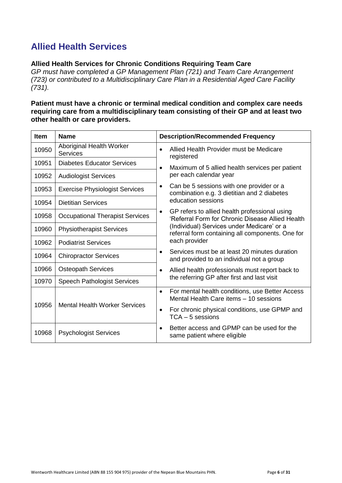# <span id="page-5-0"></span>**Allied Health Services**

### **Allied Health Services for Chronic Conditions Requiring Team Care**

*GP must have completed a GP Management Plan (721) and Team Care Arrangement (723) or contributed to a Multidisciplinary Care Plan in a Residential Aged Care Facility (731).*

### **Patient must have a chronic or terminal medical condition and complex care needs requiring care from a multidisciplinary team consisting of their GP and at least two other health or care providers.**

| Item  | <b>Name</b>                                 | <b>Description/Recommended Frequency</b>                                                                       |
|-------|---------------------------------------------|----------------------------------------------------------------------------------------------------------------|
| 10950 | Aboriginal Health Worker<br><b>Services</b> | Allied Health Provider must be Medicare<br>$\bullet$<br>registered                                             |
| 10951 | <b>Diabetes Educator Services</b>           | Maximum of 5 allied health services per patient<br>$\bullet$                                                   |
| 10952 | <b>Audiologist Services</b>                 | per each calendar year                                                                                         |
| 10953 | <b>Exercise Physiologist Services</b>       | Can be 5 sessions with one provider or a<br>$\bullet$<br>combination e.g. 3 dietitian and 2 diabetes           |
| 10954 | <b>Dietitian Services</b>                   | education sessions                                                                                             |
| 10958 | <b>Occupational Therapist Services</b>      | GP refers to allied health professional using<br>$\bullet$<br>'Referral Form for Chronic Disease Allied Health |
| 10960 | <b>Physiotherapist Services</b>             | (Individual) Services under Medicare' or a<br>referral form containing all components. One for                 |
| 10962 | <b>Podiatrist Services</b>                  | each provider                                                                                                  |
| 10964 | <b>Chiropractor Services</b>                | Services must be at least 20 minutes duration<br>$\bullet$<br>and provided to an individual not a group        |
| 10966 | <b>Osteopath Services</b>                   | Allied health professionals must report back to<br>$\bullet$                                                   |
| 10970 | <b>Speech Pathologist Services</b>          | the referring GP after first and last visit                                                                    |
|       |                                             | For mental health conditions, use Better Access<br>$\bullet$<br>Mental Health Care items - 10 sessions         |
| 10956 | <b>Mental Health Worker Services</b>        | For chronic physical conditions, use GPMP and<br>$\bullet$<br>$TCA - 5$ sessions                               |
| 10968 | <b>Psychologist Services</b>                | Better access and GPMP can be used for the<br>same patient where eligible                                      |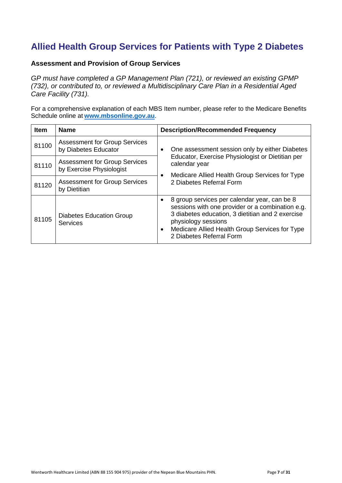# <span id="page-6-0"></span>**Allied Health Group Services for Patients with Type 2 Diabetes**

### **Assessment and Provision of Group Services**

*GP must have completed a GP Management Plan (721), or reviewed an existing GPMP (732), or contributed to, or reviewed a Multidisciplinary Care Plan in a Residential Aged Care Facility (731).*

For a comprehensive explanation of each MBS Item number, please refer to the Medicare Benefits Schedule online at **[www.mbsonline.gov.au](http://www.mbsonline.gov.au/)**.

| <b>Item</b> | <b>Name</b>                                                      | <b>Description/Recommended Frequency</b>                                                                                                                                                                                                                  |
|-------------|------------------------------------------------------------------|-----------------------------------------------------------------------------------------------------------------------------------------------------------------------------------------------------------------------------------------------------------|
| 81100       | <b>Assessment for Group Services</b><br>by Diabetes Educator     | One assessment session only by either Diabetes                                                                                                                                                                                                            |
| 81110       | <b>Assessment for Group Services</b><br>by Exercise Physiologist | Educator, Exercise Physiologist or Dietitian per<br>calendar year<br>Medicare Allied Health Group Services for Type                                                                                                                                       |
| 81120       | <b>Assessment for Group Services</b><br>by Dietitian             | 2 Diabetes Referral Form                                                                                                                                                                                                                                  |
| 81105       | <b>Diabetes Education Group</b><br>Services                      | 8 group services per calendar year, can be 8<br>sessions with one provider or a combination e.g.<br>3 diabetes education, 3 dietitian and 2 exercise<br>physiology sessions<br>Medicare Allied Health Group Services for Type<br>2 Diabetes Referral Form |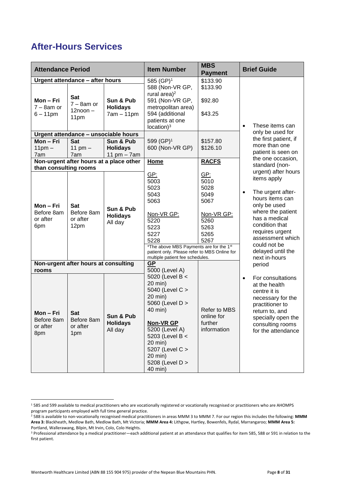# <span id="page-7-0"></span>**After-Hours Services**

| <b>Attendance Period</b>                          |                                              |                                                | <b>Item Number</b>                                                                                                                                                                                                                | <b>MBS</b><br><b>Payment</b>                                                             | <b>Brief Guide</b>                                                                                                                                                                              |
|---------------------------------------------------|----------------------------------------------|------------------------------------------------|-----------------------------------------------------------------------------------------------------------------------------------------------------------------------------------------------------------------------------------|------------------------------------------------------------------------------------------|-------------------------------------------------------------------------------------------------------------------------------------------------------------------------------------------------|
|                                                   | Urgent attendance - after hours              |                                                | 585 (GP) <sup>1</sup>                                                                                                                                                                                                             | \$133.90                                                                                 |                                                                                                                                                                                                 |
| Mon-Fri<br>$7 - 8$ am or<br>$6 - 11$ pm           | Sat<br>$7 - 8$ am or<br>$12noon -$<br>11pm   | Sun & Pub<br><b>Holidays</b><br>$7am - 11pm$   | 588 (Non-VR GP,<br>rural area) $2$<br>591 (Non-VR GP,<br>metropolitan area)<br>594 (additional<br>patients at one<br>location) <sup>3</sup>                                                                                       | \$133.90<br>\$92.80<br>\$43.25                                                           | These items can<br>$\bullet$                                                                                                                                                                    |
|                                                   | Urgent attendance - unsociable hours         |                                                |                                                                                                                                                                                                                                   |                                                                                          | only be used for                                                                                                                                                                                |
| Mon-Fri<br>$11pm -$<br>7am                        | <b>Sat</b><br>11 pm $-$<br>7am               | Sun & Pub<br><b>Holidays</b><br>11 pm $-$ 7 am | 599 (GP) <sup>1</sup><br>600 (Non-VR GP)                                                                                                                                                                                          | \$157.80<br>\$126.10                                                                     | the first patient, if<br>more than one<br>patient is seen on                                                                                                                                    |
|                                                   |                                              | Non-urgent after hours at a place other        | <b>Home</b>                                                                                                                                                                                                                       | <b>RACFS</b>                                                                             | the one occasion,<br>standard (non-                                                                                                                                                             |
| than consulting rooms                             |                                              |                                                |                                                                                                                                                                                                                                   |                                                                                          | urgent) after hours                                                                                                                                                                             |
| Mon-Fri<br>Before 8am<br>or after<br>6pm          | <b>Sat</b><br>Before 8am<br>or after<br>12pm | Sun & Pub<br><b>Holidays</b><br>All day        | GP:<br>5003<br>5023<br>5043<br>5063<br>Non-VR GP:<br>5220<br>5223<br>5227<br>5228<br>*The above MBS Payments are for the 1st                                                                                                      | <u>GP:</u><br>5010<br>5028<br>5049<br>5067<br>Non-VR GP:<br>5260<br>5263<br>5265<br>5267 | items apply<br>The urgent after-<br>$\bullet$<br>hours items can<br>only be used<br>where the patient<br>has a medical<br>condition that<br>requires urgent<br>assessment which<br>could not be |
|                                                   |                                              |                                                | patient only. Please refer to MBS Online for<br>multiple patient fee schedules.                                                                                                                                                   |                                                                                          | delayed until the<br>next in-hours                                                                                                                                                              |
|                                                   | Non-urgent after hours at consulting         |                                                | GP                                                                                                                                                                                                                                |                                                                                          | period                                                                                                                                                                                          |
| rooms<br>Mon-Fri<br>Before 8am<br>or after<br>8pm | <b>Sat</b><br>Before 8am<br>or after<br>1pm  | Sun & Pub<br><b>Holidays</b><br>All day        | 5000 (Level A)<br>5020 (Level B <<br>20 min)<br>5040 (Level C ><br>20 min)<br>5060 (Level D ><br>40 min)<br>Non-VR GP<br>5200 (Level A)<br>5203 (Level B <<br>20 min)<br>5207 (Level C ><br>20 min)<br>5208 (Level D ><br>40 min) | Refer to MBS<br>online for<br>further<br>information                                     | For consultations<br>at the health<br>centre it is<br>necessary for the<br>practitioner to<br>return to, and<br>specially open the<br>consulting rooms<br>for the attendance                    |

**.** 

<sup>&</sup>lt;sup>1</sup> 585 and 599 available to medical practitioners who are vocationally registered or vocationally recognised or practitioners who are AHOMPS program participants employed with full time general practice.

<sup>2</sup> 588 is available to non-vocationally recognised medical practitioners in areas MMM 3 to MMM 7. For our region this includes the following: **MMM Area 3:** Blackheath, Medlow Bath, Medlow Bath, Mt Victoria; **MMM Area 4:** Lithgow, Hartley, Bowenfels, Rydal, Marrangaroo; **MMM Area 5:** Portland, Wallerawang, Bilpin, Mt Irvin, Colo, Colo Heights.

<sup>3</sup> Professional attendance by a medical practitioner—each additional patient at an attendance that qualifies for item 585, 588 or 591 in relation to the first patient.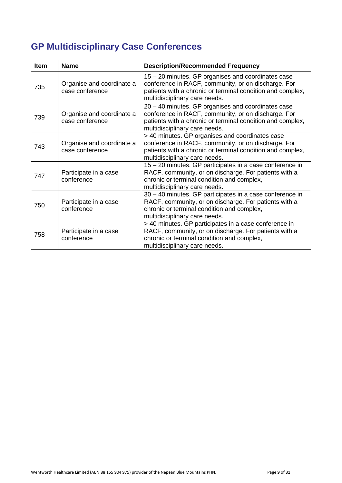# <span id="page-8-0"></span>**GP Multidisciplinary Case Conferences**

| <b>Item</b> | <b>Name</b>                                  | <b>Description/Recommended Frequency</b>                                                                                                                                                                 |
|-------------|----------------------------------------------|----------------------------------------------------------------------------------------------------------------------------------------------------------------------------------------------------------|
| 735         | Organise and coordinate a<br>case conference | 15 - 20 minutes. GP organises and coordinates case<br>conference in RACF, community, or on discharge. For<br>patients with a chronic or terminal condition and complex,<br>multidisciplinary care needs. |
| 739         | Organise and coordinate a<br>case conference | 20 - 40 minutes. GP organises and coordinates case<br>conference in RACF, community, or on discharge. For<br>patients with a chronic or terminal condition and complex,<br>multidisciplinary care needs. |
| 743         | Organise and coordinate a<br>case conference | > 40 minutes. GP organises and coordinates case<br>conference in RACF, community, or on discharge. For<br>patients with a chronic or terminal condition and complex,<br>multidisciplinary care needs.    |
| 747         | Participate in a case<br>conference          | 15 - 20 minutes. GP participates in a case conference in<br>RACF, community, or on discharge. For patients with a<br>chronic or terminal condition and complex,<br>multidisciplinary care needs.         |
| 750         | Participate in a case<br>conference          | 30 - 40 minutes. GP participates in a case conference in<br>RACF, community, or on discharge. For patients with a<br>chronic or terminal condition and complex,<br>multidisciplinary care needs.         |
| 758         | Participate in a case<br>conference          | > 40 minutes. GP participates in a case conference in<br>RACF, community, or on discharge. For patients with a<br>chronic or terminal condition and complex,<br>multidisciplinary care needs.            |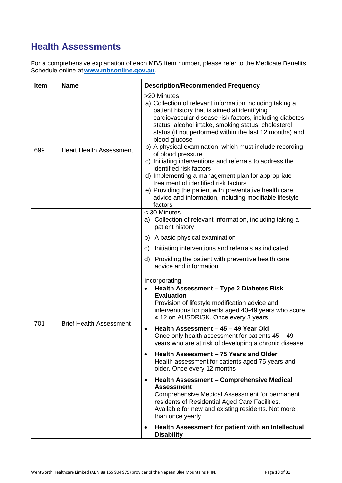# <span id="page-9-0"></span>**Health Assessments**

For a comprehensive explanation of each MBS Item number, please refer to the Medicate Benefits Schedule online at **[www.mbsonline.gov.au](http://www.mbsonline.gov.au/)**.

| Item | <b>Name</b>                    | <b>Description/Recommended Frequency</b>                                                                                                                                                                                                                                                                                                                                                                                                                                                                                                                                                                                                                                                                                                                                                                                                                                                                                                                                                                                                                                                                                                                                                             |
|------|--------------------------------|------------------------------------------------------------------------------------------------------------------------------------------------------------------------------------------------------------------------------------------------------------------------------------------------------------------------------------------------------------------------------------------------------------------------------------------------------------------------------------------------------------------------------------------------------------------------------------------------------------------------------------------------------------------------------------------------------------------------------------------------------------------------------------------------------------------------------------------------------------------------------------------------------------------------------------------------------------------------------------------------------------------------------------------------------------------------------------------------------------------------------------------------------------------------------------------------------|
| 699  | <b>Heart Health Assessment</b> | >20 Minutes<br>a) Collection of relevant information including taking a<br>patient history that is aimed at identifying<br>cardiovascular disease risk factors, including diabetes<br>status, alcohol intake, smoking status, cholesterol<br>status (if not performed within the last 12 months) and<br>blood glucose<br>b) A physical examination, which must include recording<br>of blood pressure<br>c) Initiating interventions and referrals to address the<br>identified risk factors<br>d) Implementing a management plan for appropriate<br>treatment of identified risk factors<br>e) Providing the patient with preventative health care<br>advice and information, including modifiable lifestyle<br>factors                                                                                                                                                                                                                                                                                                                                                                                                                                                                             |
| 701  | <b>Brief Health Assessment</b> | < 30 Minutes<br>a) Collection of relevant information, including taking a<br>patient history<br>A basic physical examination<br>b)<br>Initiating interventions and referrals as indicated<br>C)<br>Providing the patient with preventive health care<br>d)<br>advice and information<br>Incorporating:<br>Health Assessment - Type 2 Diabetes Risk<br><b>Evaluation</b><br>Provision of lifestyle modification advice and<br>interventions for patients aged 40-49 years who score<br>≥ 12 on AUSDRISK. Once every 3 years<br>Health Assessment - 45 - 49 Year Old<br>$\bullet$<br>Once only health assessment for patients $45 - 49$<br>years who are at risk of developing a chronic disease<br>Health Assessment - 75 Years and Older<br>$\bullet$<br>Health assessment for patients aged 75 years and<br>older. Once every 12 months<br><b>Health Assessment - Comprehensive Medical</b><br>$\bullet$<br><b>Assessment</b><br>Comprehensive Medical Assessment for permanent<br>residents of Residential Aged Care Facilities.<br>Available for new and existing residents. Not more<br>than once yearly<br>Health Assessment for patient with an Intellectual<br>$\bullet$<br><b>Disability</b> |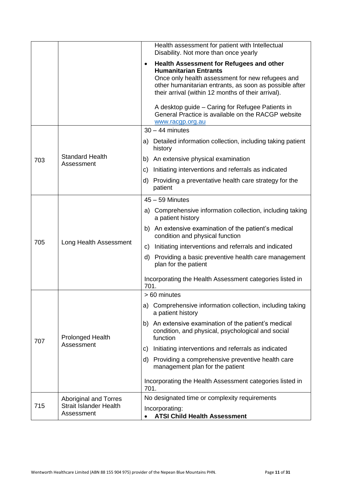|     |                                             | Health assessment for patient with Intellectual<br>Disability. Not more than once yearly                                                                                                                                                                                                                                                                                                |
|-----|---------------------------------------------|-----------------------------------------------------------------------------------------------------------------------------------------------------------------------------------------------------------------------------------------------------------------------------------------------------------------------------------------------------------------------------------------|
|     |                                             | Health Assessment for Refugees and other<br>$\bullet$<br><b>Humanitarian Entrants</b><br>Once only health assessment for new refugees and<br>other humanitarian entrants, as soon as possible after<br>their arrival (within 12 months of their arrival).<br>A desktop guide - Caring for Refugee Patients in<br>General Practice is available on the RACGP website<br>www.racgp.org.au |
|     |                                             | $30 - 44$ minutes                                                                                                                                                                                                                                                                                                                                                                       |
|     |                                             | Detailed information collection, including taking patient<br>a)<br>history                                                                                                                                                                                                                                                                                                              |
| 703 | <b>Standard Health</b><br>Assessment        | An extensive physical examination<br>b)                                                                                                                                                                                                                                                                                                                                                 |
|     |                                             | Initiating interventions and referrals as indicated<br>C)                                                                                                                                                                                                                                                                                                                               |
|     |                                             | Providing a preventative health care strategy for the<br>d)<br>patient                                                                                                                                                                                                                                                                                                                  |
|     | Long Health Assessment                      | $45 - 59$ Minutes                                                                                                                                                                                                                                                                                                                                                                       |
|     |                                             | a) Comprehensive information collection, including taking<br>a patient history                                                                                                                                                                                                                                                                                                          |
|     |                                             | An extensive examination of the patient's medical<br>b)<br>condition and physical function                                                                                                                                                                                                                                                                                              |
| 705 |                                             | Initiating interventions and referrals and indicated<br>C)                                                                                                                                                                                                                                                                                                                              |
|     |                                             | Providing a basic preventive health care management<br>d)<br>plan for the patient                                                                                                                                                                                                                                                                                                       |
|     |                                             | Incorporating the Health Assessment categories listed in<br>701.                                                                                                                                                                                                                                                                                                                        |
|     |                                             | > 60 minutes                                                                                                                                                                                                                                                                                                                                                                            |
|     | <b>Prolonged Health</b>                     | a) Comprehensive information collection, including taking<br>a patient history                                                                                                                                                                                                                                                                                                          |
| 707 |                                             | An extensive examination of the patient's medical<br>b)<br>condition, and physical, psychological and social<br>function                                                                                                                                                                                                                                                                |
|     | Assessment                                  | Initiating interventions and referrals as indicated<br>C)                                                                                                                                                                                                                                                                                                                               |
|     |                                             | Providing a comprehensive preventive health care<br>d)<br>management plan for the patient                                                                                                                                                                                                                                                                                               |
|     |                                             | Incorporating the Health Assessment categories listed in<br>701.                                                                                                                                                                                                                                                                                                                        |
|     | <b>Aboriginal and Torres</b>                | No designated time or complexity requirements                                                                                                                                                                                                                                                                                                                                           |
| 715 | <b>Strait Islander Health</b><br>Assessment | Incorporating:<br><b>ATSI Child Health Assessment</b>                                                                                                                                                                                                                                                                                                                                   |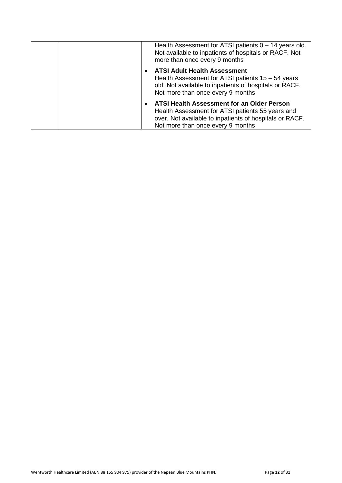|  | Health Assessment for ATSI patients $0 - 14$ years old.<br>Not available to inpatients of hospitals or RACF. Not<br>more than once every 9 months                                                     |
|--|-------------------------------------------------------------------------------------------------------------------------------------------------------------------------------------------------------|
|  | <b>ATSI Adult Health Assessment</b><br>Health Assessment for ATSI patients 15 – 54 years<br>old. Not available to inpatients of hospitals or RACF.<br>Not more than once every 9 months               |
|  | <b>ATSI Health Assessment for an Older Person</b><br>Health Assessment for ATSI patients 55 years and<br>over. Not available to inpatients of hospitals or RACF.<br>Not more than once every 9 months |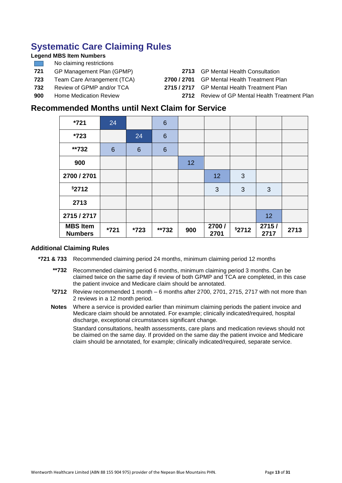# <span id="page-12-0"></span>**Systematic Care Claiming Rules**

### **Legend MBS Item Numbers**

- No claiming restrictions
- **721** GP Management Plan (GPMP) **2713** GP Mental Health Consultation
- 
- 
- 
- **723** Team Care Arrangement (TCA) **2700 / 2701** GP Mental Health Treatment Plan **732** Review of GPMP and/or TCA **2715 / 2717** GP Mental Health Treatment Plan
- 
- **900** Home Medication Review **2712** Review of GP Mental Health Treatment Plan

### **Recommended Months until Next Claim for Service**

| $*721$                            | 24              |                 | $6\phantom{1}6$ |     |                |       |               |      |
|-----------------------------------|-----------------|-----------------|-----------------|-----|----------------|-------|---------------|------|
| *723                              |                 | 24              | $6\phantom{1}6$ |     |                |       |               |      |
| **732                             | $6\phantom{1}6$ | $6\phantom{1}6$ | $6\phantom{1}6$ |     |                |       |               |      |
| 900                               |                 |                 |                 | 12  |                |       |               |      |
| 2700 / 2701                       |                 |                 |                 |     | 12             | 3     |               |      |
| §2712                             |                 |                 |                 |     | 3              | 3     | 3             |      |
| 2713                              |                 |                 |                 |     |                |       |               |      |
| 2715 / 2717                       |                 |                 |                 |     |                |       | 12            |      |
| <b>MBS Item</b><br><b>Numbers</b> | *721            | $*723$          | **732           | 900 | 2700 /<br>2701 | §2712 | 2715/<br>2717 | 2713 |

### **Additional Claiming Rules**

- **\*721 & 733** Recommended claiming period 24 months, minimum claiming period 12 months
	- **\*\*732** Recommended claiming period 6 months, minimum claiming period 3 months. Can be claimed twice on the same day if review of both GPMP and TCA are completed, in this case the patient invoice and Medicare claim should be annotated.
	- **§2712** Review recommended 1 month 6 months after 2700, 2701, 2715, 2717 with not more than 2 reviews in a 12 month period.
	- **Notes** Where a service is provided earlier than minimum claiming periods the patient invoice and Medicare claim should be annotated. For example; clinically indicated/required, hospital discharge, exceptional circumstances significant change.

Standard consultations, health assessments, care plans and medication reviews should not be claimed on the same day. If provided on the same day the patient invoice and Medicare claim should be annotated, for example; clinically indicated/required, separate service.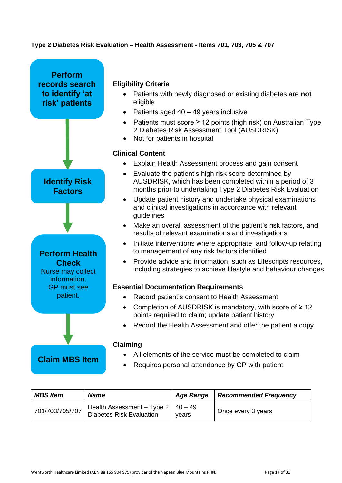### **Type 2 Diabetes Risk Evaluation – Health Assessment - Items 701, 703, 705 & 707**



| <b>MBS Item</b> | <b>Name</b>                                                           | <b>Age Range</b> | <b>Recommended Frequency</b> |
|-----------------|-----------------------------------------------------------------------|------------------|------------------------------|
| 701/703/705/707 | Health Assessment - Type $2 \mid 40 - 49$<br>Diabetes Risk Evaluation | vears            | Once every 3 years           |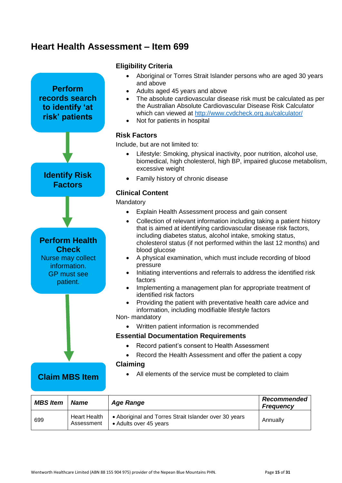## <span id="page-14-0"></span>**Heart Health Assessment – Item 699**

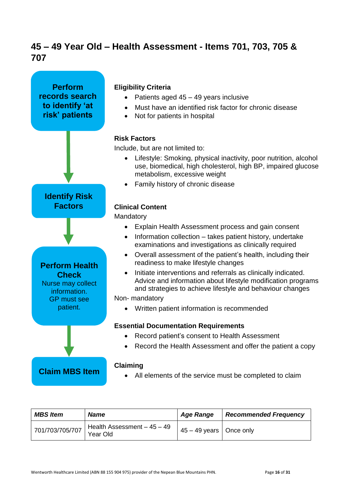# <span id="page-15-0"></span>**45 – 49 Year Old – Health Assessment - Items 701, 703, 705 & 707**



| <b>MBS Item</b> | <b>Name</b>                             | <b>Age Range</b>             | <b>Recommended Frequency</b> |
|-----------------|-----------------------------------------|------------------------------|------------------------------|
| 701/703/705/707 | Health Assessment - 45 - 49<br>Year Old | $145 - 49$ years   Once only |                              |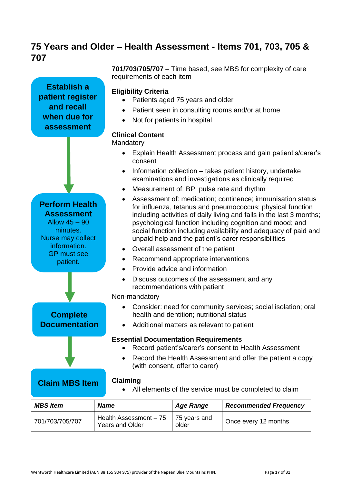# <span id="page-16-0"></span>**75 Years and Older – Health Assessment - Items 701, 703, 705 & 707**

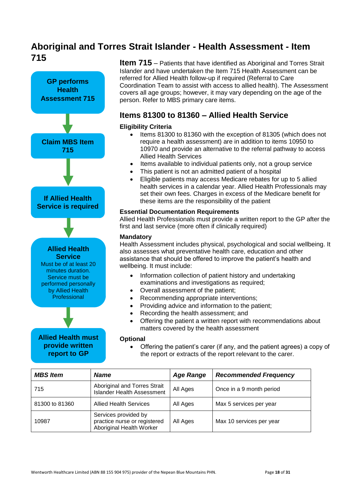# <span id="page-17-0"></span>**Aboriginal and Torres Strait Islander - Health Assessment - Item 715**



**Item 715** – Patients that have identified as Aboriginal and Torres Strait Islander and have undertaken the Item 715 Health Assessment can be referred for Allied Health follow-up if required (Referral to Care Coordination Team to assist with access to allied health). The Assessment covers all age groups; however, it may vary depending on the age of the person. Refer to MBS primary care items.

### **Items 81300 to 81360 – Allied Health Service**

### **Eligibility Criteria**

- Items 81300 to 81360 with the exception of 81305 (which does not require a health assessment) are in addition to items 10950 to 10970 and provide an alternative to the referral pathway to access Allied Health Services
- Items available to individual patients only, not a group service
- This patient is not an admitted patient of a hospital
- Eligible patients may access Medicare rebates for up to 5 allied health services in a calendar year. Allied Health Professionals may set their own fees. Charges in excess of the Medicare benefit for these items are the responsibility of the patient

### **Essential Documentation Requirements**

Allied Health Professionals must provide a written report to the GP after the first and last service (more often if clinically required)

### **Mandatory**

Health Assessment includes physical, psychological and social wellbeing. It also assesses what preventative health care, education and other assistance that should be offered to improve the patient's health and wellbeing. It must include:

- Information collection of patient history and undertaking examinations and investigations as required;
- Overall assessment of the patient;
- Recommending appropriate interventions;
- Providing advice and information to the patient;
- Recording the health assessment; and
- Offering the patient a written report with recommendations about matters covered by the health assessment

#### **Optional**

 Offering the patient's carer (if any, and the patient agrees) a copy of the report or extracts of the report relevant to the carer.

| <b>MBS Item</b> | <b>Name</b>                                                                      | <b>Age Range</b> | <b>Recommended Frequency</b> |
|-----------------|----------------------------------------------------------------------------------|------------------|------------------------------|
| 715             | Aboriginal and Torres Strait<br><b>Islander Health Assessment</b>                | All Ages         | Once in a 9 month period     |
| 81300 to 81360  | <b>Allied Health Services</b>                                                    | All Ages         | Max 5 services per year      |
| 10987           | Services provided by<br>practice nurse or registered<br>Aboriginal Health Worker | All Ages         | Max 10 services per year     |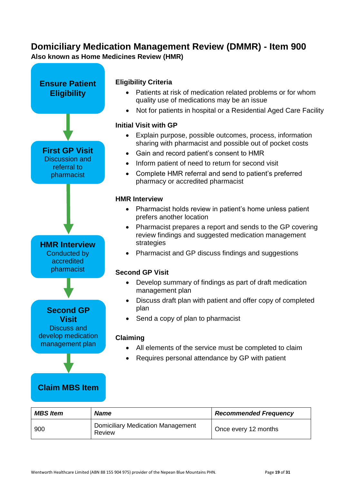### <span id="page-18-0"></span>**Domiciliary Medication Management Review (DMMR) - Item 900 Also known as Home Medicines Review (HMR)**



| <b>MBS Item</b> | <b>Name</b>                                        | <b>Recommended Frequency</b> |
|-----------------|----------------------------------------------------|------------------------------|
| 900             | <b>Domiciliary Medication Management</b><br>Review | Once every 12 months         |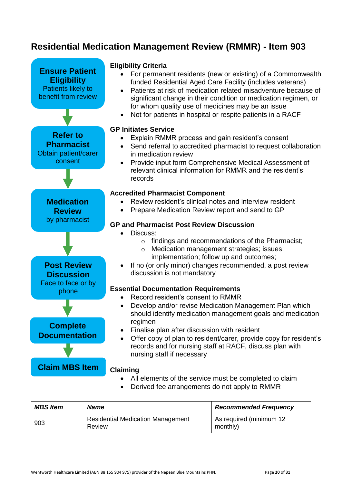# <span id="page-19-0"></span>**Residential Medication Management Review (RMMR) - Item 903**



| <b>MBS Item</b> | <b>Name</b>                                        | <b>Recommended Frequency</b>        |
|-----------------|----------------------------------------------------|-------------------------------------|
| 903             | <b>Residential Medication Management</b><br>Review | As required (minimum 12<br>monthly) |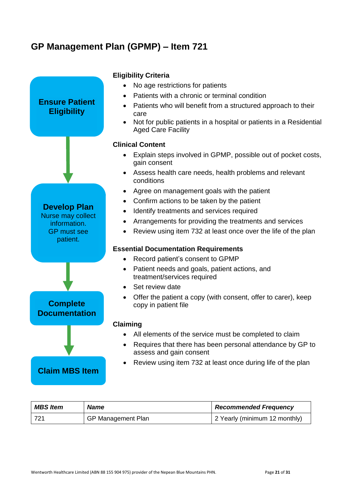# <span id="page-20-0"></span>**GP Management Plan (GPMP) – Item 721**



| <b>MBS Item</b> | <b>Name</b>               | <b>Recommended Frequency</b>  |
|-----------------|---------------------------|-------------------------------|
| -721            | <b>GP Management Plan</b> | 2 Yearly (minimum 12 monthly) |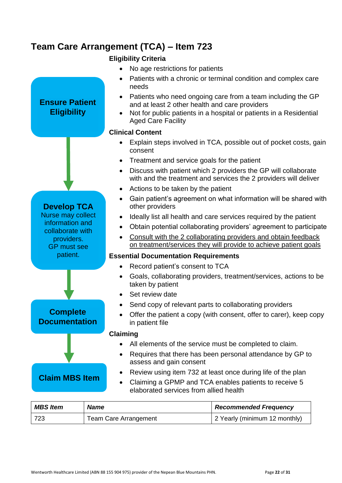# <span id="page-21-0"></span>**Team Care Arrangement (TCA) – Item 723**

**Ensure Patient Eligibility**

**Develop TCA** Nurse may collect information and collaborate with providers. GP must see patient.

**Complete Documentation**

**Claim MBS Item**

### **Eligibility Criteria**

- No age restrictions for patients
- Patients with a chronic or terminal condition and complex care needs
- Patients who need ongoing care from a team including the GP and at least 2 other health and care providers
- Not for public patients in a hospital or patients in a Residential Aged Care Facility

### **Clinical Content**

- Explain steps involved in TCA, possible out of pocket costs, gain consent
- Treatment and service goals for the patient
- Discuss with patient which 2 providers the GP will collaborate with and the treatment and services the 2 providers will deliver
- Actions to be taken by the patient
- Gain patient's agreement on what information will be shared with other providers
- Ideally list all health and care services required by the patient
- Obtain potential collaborating providers' agreement to participate
- Consult with the 2 collaborating providers and obtain feedback on treatment/services they will provide to achieve patient goals

### **Essential Documentation Requirements**

- Record patient's consent to TCA
- Goals, collaborating providers, treatment/services, actions to be taken by patient
- Set review date
- Send copy of relevant parts to collaborating providers
- Offer the patient a copy (with consent, offer to carer), keep copy in patient file

### **Claiming**

- All elements of the service must be completed to claim.
- Requires that there has been personal attendance by GP to assess and gain consent

### Review using item 732 at least once during life of the plan

 Claiming a GPMP and TCA enables patients to receive 5 elaborated services from allied health

| <b>MBS Item</b> | <b>Name</b>                  | <b>Recommended Frequency</b>  |
|-----------------|------------------------------|-------------------------------|
| -723            | <b>Team Care Arrangement</b> | 2 Yearly (minimum 12 monthly) |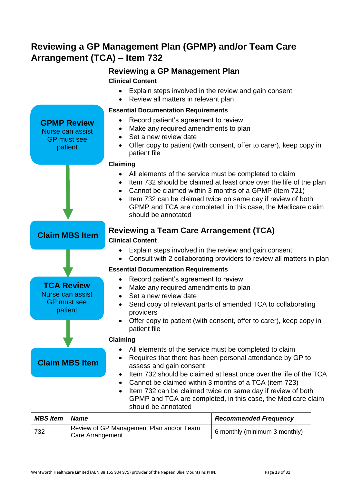# <span id="page-22-0"></span>**Reviewing a GP Management Plan (GPMP) and/or Team Care Arrangement (TCA) – Item 732**

### **Reviewing a GP Management Plan Clinical Content**

- Explain steps involved in the review and gain consent
- Review all matters in relevant plan



| <b>MBS Item</b> | <b>Name</b>                                                  | <b>Recommended Frequency</b>  |
|-----------------|--------------------------------------------------------------|-------------------------------|
| 732             | Review of GP Management Plan and/or Team<br>Care Arrangement | 6 monthly (minimum 3 monthly) |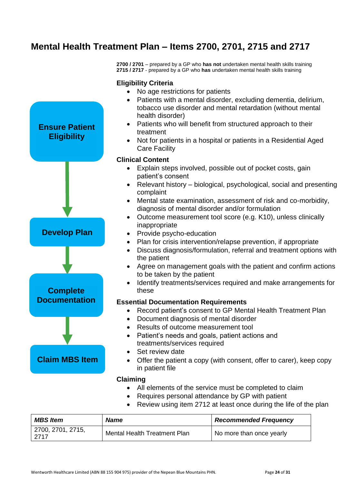# <span id="page-23-0"></span>**Mental Health Treatment Plan – Items 2700, 2701, 2715 and 2717**

**Eligibility Criteria**

**2700 / 2701** – prepared by a GP who **has not** undertaken mental health skills training **2715 / 2717** - prepared by a GP who **has** undertaken mental health skills training



- Requires personal attendance by GP with patient
- Review using item 2712 at least once during the life of the plan

| <b>MBS Item</b>            | <b>Name</b>                  | <b>Recommended Frequency</b> |
|----------------------------|------------------------------|------------------------------|
| 2700, 2701, 2715,<br>-2717 | Mental Health Treatment Plan | No more than once yearly     |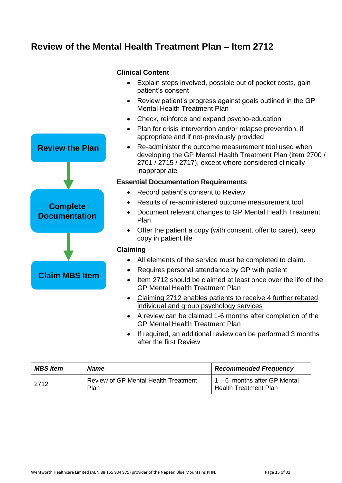# <span id="page-24-0"></span>**Review of the Mental Health Treatment Plan – Item 2712**



### **Clinical Content**

- Explain steps involved, possible out of pocket costs, gain patient's consent
- Review patient's progress against goals outlined in the GP Mental Health Treatment Plan
- Check, reinforce and expand psycho-education
- Plan for crisis intervention and/or relapse prevention, if appropriate and if not-previously provided
- Re-administer the outcome measurement tool used when developing the GP Mental Health Treatment Plan (item 2700 / 2701 / 2715 / 2717), except where considered clinically inappropriate

### **Essential Documentation Requirements**

- Record patient's consent to Review
- Results of re-administered outcome measurement tool
- Document relevant changes to GP Mental Health Treatment Plan
- Offer the patient a copy (with consent, offer to carer), keep copy in patient file

### **Claiming**

- All elements of the service must be completed to claim.
- Requires personal attendance by GP with patient
- Item 2712 should be claimed at least once over the life of the GP Mental Health Treatment Plan
- Claiming 2712 enables patients to receive 4 further rebated individual and group psychology services
- A review can be claimed 1-6 months after completion of the GP Mental Health Treatment Plan
- If required, an additional review can be performed 3 months after the first Review

| <b>MBS Item</b> | <b>Name</b>                                         | <b>Recommended Frequency</b>                                 |
|-----------------|-----------------------------------------------------|--------------------------------------------------------------|
| 2712            | <b>Review of GP Mental Health Treatment</b><br>Plan | 1 – 6 months after GP Mental<br><b>Health Treatment Plan</b> |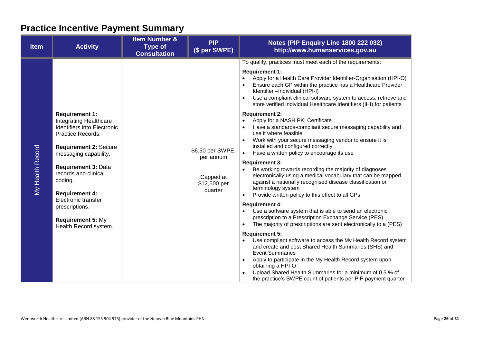# **Practice Incentive Payment Summary**

<span id="page-25-0"></span>

| <b>Item</b>      | <b>Activity</b>                                                                                                                                                                                                                                                                                                                                      | <b>Item Number &amp;</b><br><b>Type of</b><br><b>Consultation</b> | <b>PIP</b><br>(\$ per SWPE)                                           | Notes (PIP Enquiry Line 1800 222 032)<br>http://www.humanservices.gov.au                                                                                                                                                                                                                                                                                                                                                                                                                                                                                                                                                                                                                                                                                                                                                                                                                                                                                                                                                                                                                                                                                                                                                                                                                                                                                                                                                                                                                                                                                                                                                                                                                                                                       |
|------------------|------------------------------------------------------------------------------------------------------------------------------------------------------------------------------------------------------------------------------------------------------------------------------------------------------------------------------------------------------|-------------------------------------------------------------------|-----------------------------------------------------------------------|------------------------------------------------------------------------------------------------------------------------------------------------------------------------------------------------------------------------------------------------------------------------------------------------------------------------------------------------------------------------------------------------------------------------------------------------------------------------------------------------------------------------------------------------------------------------------------------------------------------------------------------------------------------------------------------------------------------------------------------------------------------------------------------------------------------------------------------------------------------------------------------------------------------------------------------------------------------------------------------------------------------------------------------------------------------------------------------------------------------------------------------------------------------------------------------------------------------------------------------------------------------------------------------------------------------------------------------------------------------------------------------------------------------------------------------------------------------------------------------------------------------------------------------------------------------------------------------------------------------------------------------------------------------------------------------------------------------------------------------------|
| My Health Record | <b>Requirement 1:</b><br><b>Integrating Healthcare</b><br>Identifiers into Electronic<br>Practice Records.<br><b>Requirement 2: Secure</b><br>messaging capability.<br><b>Requirement 3: Data</b><br>records and clinical<br>coding.<br><b>Requirement 4:</b><br>Electronic transfer<br>prescriptions.<br>Requirement 5: My<br>Health Record system. |                                                                   | \$6.50 per SWPE,<br>per annum<br>Capped at<br>\$12,500 per<br>quarter | To qualify, practices must meet each of the requirements:<br><b>Requirement 1:</b><br>Apply for a Health Care Provider Identifier-Organisation (HPI-O)<br>$\bullet$<br>Ensure each GP within the practice has a Healthcare Provider<br>$\bullet$<br>Identifier - Individual (HPI-I)<br>Use a compliant clinical software system to access, retrieve and<br>$\bullet$<br>store verified individual Healthcare Identifiers (IHI) for patients<br><b>Requirement 2:</b><br>Apply for a NASH PKI Certificate<br>$\bullet$<br>Have a standards-compliant secure messaging capability and<br>$\bullet$<br>use it where feasible<br>Work with your secure messaging vendor to ensure it is<br>installed and configured correctly<br>Have a written policy to encourage its use<br>$\bullet$<br><b>Requirement 3:</b><br>Be working towards recording the majority of diagnoses<br>electronically using a medical vocabulary that can be mapped<br>against a nationally recognised disease classification or<br>terminology system<br>Provide written policy to this effect to all GPs<br>$\bullet$<br><b>Requirement 4:</b><br>Use a software system that is able to send an electronic<br>$\bullet$<br>prescription to a Prescription Exchange Service (PES)<br>The majority of prescriptions are sent electronically to a (PES)<br>$\bullet$<br><b>Requirement 5:</b><br>Use compliant software to access the My Health Record system<br>$\bullet$<br>and create and post Shared Health Summaries (SHS) and<br><b>Event Summaries</b><br>Apply to participate in the My Health Record system upon<br>obtaining a HPI-O<br>Upload Shared Health Summaries for a minimum of 0.5 % of<br>the practice's SWPE count of patients per PIP payment quarter |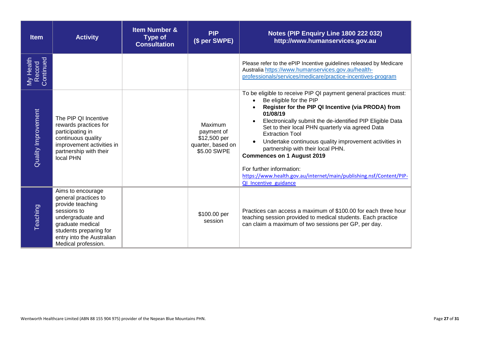| <b>Item</b>                      | <b>Activity</b>                                                                                                                                                                                     | <b>Item Number &amp;</b><br><b>Type of</b><br><b>Consultation</b> | <b>PIP</b><br>(\$ per SWPE)                                               | Notes (PIP Enquiry Line 1800 222 032)<br>http://www.humanservices.gov.au                                                                                                                                                                                                                                                                                                                                                                                                                                                                                                                           |
|----------------------------------|-----------------------------------------------------------------------------------------------------------------------------------------------------------------------------------------------------|-------------------------------------------------------------------|---------------------------------------------------------------------------|----------------------------------------------------------------------------------------------------------------------------------------------------------------------------------------------------------------------------------------------------------------------------------------------------------------------------------------------------------------------------------------------------------------------------------------------------------------------------------------------------------------------------------------------------------------------------------------------------|
| My Health<br>Record<br>Continued |                                                                                                                                                                                                     |                                                                   |                                                                           | Please refer to the ePIP Incentive guidelines released by Medicare<br>Australia https://www.humanservices.gov.au/health-<br>professionals/services/medicare/practice-incentives-program                                                                                                                                                                                                                                                                                                                                                                                                            |
| <b>Quality Improvement</b>       | The PIP QI Incentive<br>rewards practices for<br>participating in<br>continuous quality<br>improvement activities in<br>partnership with their<br>local PHN                                         |                                                                   | Maximum<br>payment of<br>\$12,500 per<br>quarter, based on<br>\$5.00 SWPE | To be eligible to receive PIP QI payment general practices must:<br>Be eligible for the PIP<br>$\bullet$<br>Register for the PIP QI Incentive (via PRODA) from<br>01/08/19<br>Electronically submit the de-identified PIP Eligible Data<br>Set to their local PHN quarterly via agreed Data<br><b>Extraction Tool</b><br>Undertake continuous quality improvement activities in<br>$\bullet$<br>partnership with their local PHN.<br><b>Commences on 1 August 2019</b><br>For further information:<br>https://www.health.gov.au/internet/main/publishing.nsf/Content/PIP-<br>QI Incentive guidance |
| Teaching                         | Aims to encourage<br>general practices to<br>provide teaching<br>sessions to<br>undergraduate and<br>graduate medical<br>students preparing for<br>entry into the Australian<br>Medical profession. |                                                                   | \$100.00 per<br>session                                                   | Practices can access a maximum of \$100.00 for each three hour<br>teaching session provided to medical students. Each practice<br>can claim a maximum of two sessions per GP, per day.                                                                                                                                                                                                                                                                                                                                                                                                             |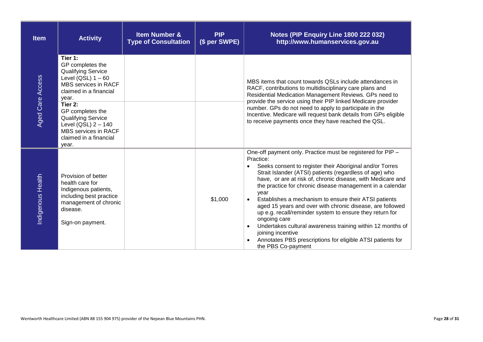| <b>Item</b>             | <b>Activity</b>                                                                                                                                                                                                                                                                             | <b>Item Number &amp;</b><br><b>Type of Consultation</b> | <b>PIP</b><br>(\$ per SWPE) | Notes (PIP Enquiry Line 1800 222 032)<br>http://www.humanservices.gov.au                                                                                                                                                                                                                                                                                                                                                                                                                                                                                                                                                                                                                                     |
|-------------------------|---------------------------------------------------------------------------------------------------------------------------------------------------------------------------------------------------------------------------------------------------------------------------------------------|---------------------------------------------------------|-----------------------------|--------------------------------------------------------------------------------------------------------------------------------------------------------------------------------------------------------------------------------------------------------------------------------------------------------------------------------------------------------------------------------------------------------------------------------------------------------------------------------------------------------------------------------------------------------------------------------------------------------------------------------------------------------------------------------------------------------------|
| <b>Aged Care Access</b> | Tier 1:<br>GP completes the<br><b>Qualifying Service</b><br>Level $(QSL)$ 1 - 60<br>MBS services in RACF<br>claimed in a financial<br>year.<br>Tier 2:<br>GP completes the<br><b>Qualifying Service</b><br>Level (QSL) $2 - 140$<br>MBS services in RACF<br>claimed in a financial<br>year. |                                                         |                             | MBS items that count towards QSLs include attendances in<br>RACF, contributions to multidisciplinary care plans and<br>Residential Medication Management Reviews. GPs need to<br>provide the service using their PIP linked Medicare provider<br>number. GPs do not need to apply to participate in the<br>Incentive. Medicare will request bank details from GPs eligible<br>to receive payments once they have reached the QSL.                                                                                                                                                                                                                                                                            |
| Indigenous Health       | Provision of better<br>health care for<br>Indigenous patients,<br>including best practice<br>management of chronic<br>disease.<br>Sign-on payment.                                                                                                                                          |                                                         | \$1,000                     | One-off payment only. Practice must be registered for PIP -<br>Practice:<br>Seeks consent to register their Aboriginal and/or Torres<br>Strait Islander (ATSI) patients (regardless of age) who<br>have, or are at risk of, chronic disease, with Medicare and<br>the practice for chronic disease management in a calendar<br>year<br>Establishes a mechanism to ensure their ATSI patients<br>aged 15 years and over with chronic disease, are followed<br>up e.g. recall/reminder system to ensure they return for<br>ongoing care<br>Undertakes cultural awareness training within 12 months of<br>joining incentive<br>Annotates PBS prescriptions for eligible ATSI patients for<br>the PBS Co-payment |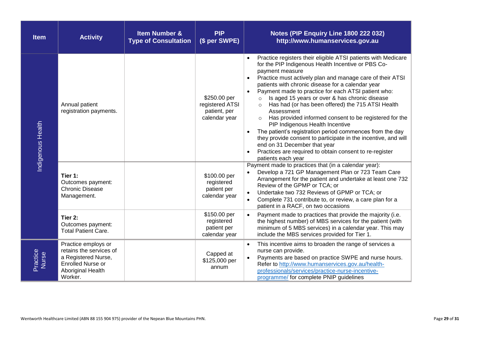| <b>Item</b>       | <b>Activity</b>                                                                                                            | <b>Item Number &amp;</b><br><b>Type of Consultation</b> | <b>PIP</b><br>(\$ per SWPE)                                      | Notes (PIP Enquiry Line 1800 222 032)<br>http://www.humanservices.gov.au                                                                                                                                                                                                                                                                                                                                                                                                                                                                                                                                                                                                                                                                                                                    |
|-------------------|----------------------------------------------------------------------------------------------------------------------------|---------------------------------------------------------|------------------------------------------------------------------|---------------------------------------------------------------------------------------------------------------------------------------------------------------------------------------------------------------------------------------------------------------------------------------------------------------------------------------------------------------------------------------------------------------------------------------------------------------------------------------------------------------------------------------------------------------------------------------------------------------------------------------------------------------------------------------------------------------------------------------------------------------------------------------------|
| Indigenous Health | Annual patient<br>registration payments.                                                                                   |                                                         | \$250.00 per<br>registered ATSI<br>patient, per<br>calendar year | Practice registers their eligible ATSI patients with Medicare<br>for the PIP Indigenous Health Incentive or PBS Co-<br>payment measure<br>Practice must actively plan and manage care of their ATSI<br>patients with chronic disease for a calendar year<br>Payment made to practice for each ATSI patient who:<br>Is aged 15 years or over & has chronic disease<br>$\circ$<br>Has had (or has been offered) the 715 ATSI Health<br>Assessment<br>Has provided informed consent to be registered for the<br>PIP Indigenous Health Incentive<br>The patient's registration period commences from the day<br>they provide consent to participate in the incentive, and will<br>end on 31 December that year<br>Practices are required to obtain consent to re-register<br>patients each year |
|                   | Tier 1:<br>Outcomes payment:<br><b>Chronic Disease</b><br>Management.                                                      |                                                         | \$100.00 per<br>registered<br>patient per<br>calendar year       | Payment made to practices that (in a calendar year):<br>Develop a 721 GP Management Plan or 723 Team Care<br>Arrangement for the patient and undertake at least one 732<br>Review of the GPMP or TCA; or<br>Undertake two 732 Reviews of GPMP or TCA; or<br>Complete 731 contribute to, or review, a care plan for a<br>patient in a RACF, on two occasions                                                                                                                                                                                                                                                                                                                                                                                                                                 |
|                   | Tier 2:<br>Outcomes payment:<br><b>Total Patient Care.</b>                                                                 |                                                         | \$150.00 per<br>registered<br>patient per<br>calendar year       | Payment made to practices that provide the majority (i.e.<br>the highest number) of MBS services for the patient (with<br>minimum of 5 MBS services) in a calendar year. This may<br>include the MBS services provided for Tier 1.                                                                                                                                                                                                                                                                                                                                                                                                                                                                                                                                                          |
| Practice<br>Nurse | Practice employs or<br>retains the services of<br>a Registered Nurse,<br>Enrolled Nurse or<br>Aboriginal Health<br>Worker. |                                                         | Capped at<br>\$125,000 per<br>annum                              | This incentive aims to broaden the range of services a<br>nurse can provide.<br>Payments are based on practice SWPE and nurse hours.<br>Refer to http://www.humanservices.gov.au/health-<br>professionals/services/practice-nurse-incentive-<br>programme/ for complete PNIP guidelines                                                                                                                                                                                                                                                                                                                                                                                                                                                                                                     |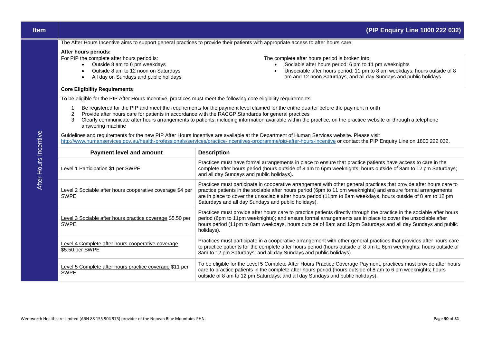| <b>Item</b> | (PIP Enquiry Line 1800 222 032) |  |
|-------------|---------------------------------|--|
|-------------|---------------------------------|--|

The After Hours Incentive aims to support general practices to provide their patients with appropriate access to after hours care.

#### **After hours periods:**

For PIP the complete after hours period is:

- Outside 8 am to 6 pm weekdays
- Outside 8 am to 12 noon on Saturdays
- All day on Sundays and public holidays

#### **Core Eligibility Requirements**

The complete after hours period is broken into:

- Sociable after hours period: 6 pm to 11 pm weeknights
- Unsociable after hours period: 11 pm to 8 am weekdays, hours outside of 8 am and 12 noon Saturdays, and all day Sundays and public holidays

To be eligible for the PIP After Hours Incentive, practices must meet the following core eligibility requirements:

- 1 Be registered for the PIP and meet the requirements for the payment level claimed for the entire quarter before the payment month
- 2 Provide after hours care for patients in accordance with the RACGP Standards for general practices
- 3 Clearly communicate after hours arrangements to patients, including information available within the practice, on the practice website or through a telephone answering machine

Guidelines and requirements for the new PIP After Hours Incentive are available at the Department of Human Services website. Please visit <http://www.humanservices.gov.au/health-professionals/services/practice-incentives-programme/pip-after-hours-incentive> or contact the PIP Enquiry Line on 1800 222 032.

| <b>Payment level and amount</b>                                          | <b>Description</b>                                                                                                                                                                                                                                                                                                                                                                                           |
|--------------------------------------------------------------------------|--------------------------------------------------------------------------------------------------------------------------------------------------------------------------------------------------------------------------------------------------------------------------------------------------------------------------------------------------------------------------------------------------------------|
| <b>Level 1 Participation \$1 per SWPE</b>                                | Practices must have formal arrangements in place to ensure that practice patients have access to care in the<br>complete after hours period (hours outside of 8 am to 6pm weeknights; hours outside of 8am to 12 pm Saturdays;<br>and all day Sundays and public holidays).                                                                                                                                  |
| Level 2 Sociable after hours cooperative coverage \$4 per<br><b>SWPE</b> | Practices must participate in cooperative arrangement with other general practices that provide after hours care to<br>practice patients in the sociable after hours period (6pm to 11 pm weeknights) and ensure formal arrangements<br>are in place to cover the unsociable after hours period (11pm to 8am weekdays, hours outside of 8 am to 12 pm<br>Saturdays and all day Sundays and public holidays). |
| Level 3 Sociable after hours practice coverage \$5.50 per<br><b>SWPE</b> | Practices must provide after hours care to practice patients directly through the practice in the sociable after hours<br>period (6pm to 11pm weeknights); and ensure formal arrangements are in place to cover the unsociable after<br>hours period (11pm to 8am weekdays, hours outside of 8am and 12pm Saturdays and all day Sundays and public<br>holidays).                                             |
| Level 4 Complete after hours cooperative coverage<br>\$5.50 per SWPE     | Practices must participate in a cooperative arrangement with other general practices that provides after hours care<br>to practice patients for the complete after hours period (hours outside of 8 am to 6pm weeknights; hours outside of<br>8am to 12 pm Saturdays; and all day Sundays and public holidays).                                                                                              |
| Level 5 Complete after hours practice coverage \$11 per<br><b>SWPE</b>   | To be eligible for the Level 5 Complete After Hours Practice Coverage Payment, practices must provide after hours<br>care to practice patients in the complete after hours period (hours outside of 8 am to 6 pm weeknights; hours<br>outside of 8 am to 12 pm Saturdays; and all day Sundays and public holidays).                                                                                          |

After Hours Incentive After Hours Incentive